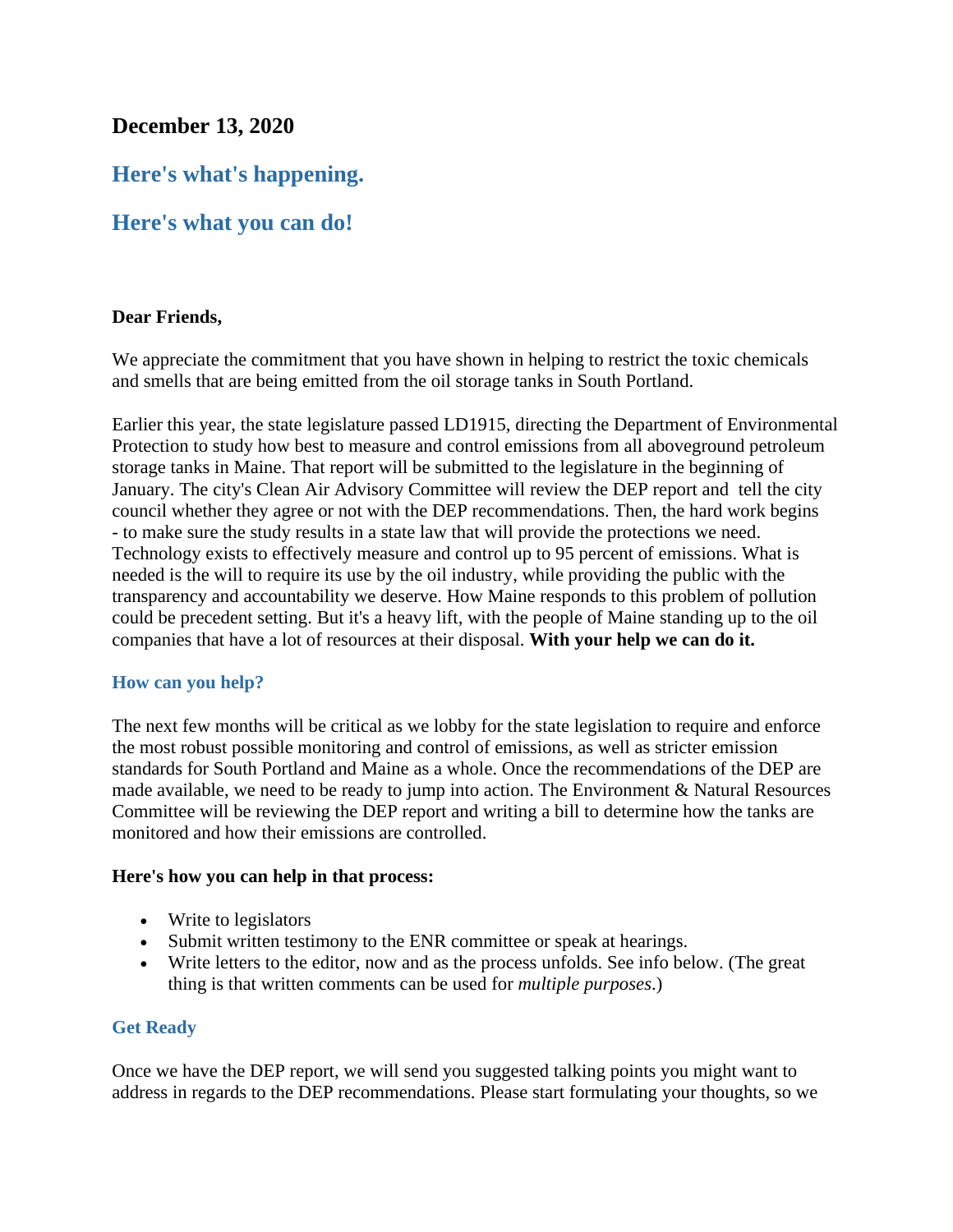## **December 13, 2020**

# **Here's what's happening.**

## **Here's what you can do!**

#### **Dear Friends,**

We appreciate the commitment that you have shown in helping to restrict the toxic chemicals and smells that are being emitted from the oil storage tanks in South Portland.

Earlier this year, the state legislature passed LD1915, directing the Department of Environmental Protection to study how best to measure and control emissions from all aboveground petroleum storage tanks in Maine. That report will be submitted to the legislature in the beginning of January. The city's Clean Air Advisory Committee will review the DEP report and tell the city council whether they agree or not with the DEP recommendations. Then, the hard work begins - to make sure the study results in a state law that will provide the protections we need. Technology exists to effectively measure and control up to 95 percent of emissions. What is needed is the will to require its use by the oil industry, while providing the public with the transparency and accountability we deserve. How Maine responds to this problem of pollution could be precedent setting. But it's a heavy lift, with the people of Maine standing up to the oil companies that have a lot of resources at their disposal. **With your help we can do it.**

#### **How can you help?**

The next few months will be critical as we lobby for the state legislation to require and enforce the most robust possible monitoring and control of emissions, as well as stricter emission standards for South Portland and Maine as a whole. Once the recommendations of the DEP are made available, we need to be ready to jump into action. The Environment & Natural Resources Committee will be reviewing the DEP report and writing a bill to determine how the tanks are monitored and how their emissions are controlled.

#### **Here's how you can help in that process:**

- Write to legislators
- Submit written testimony to the ENR committee or speak at hearings.
- Write letters to the editor, now and as the process unfolds. See info below. (The great thing is that written comments can be used for *multiple purposes*.)

## **Get Ready**

Once we have the DEP report, we will send you suggested talking points you might want to address in regards to the DEP recommendations. Please start formulating your thoughts, so we